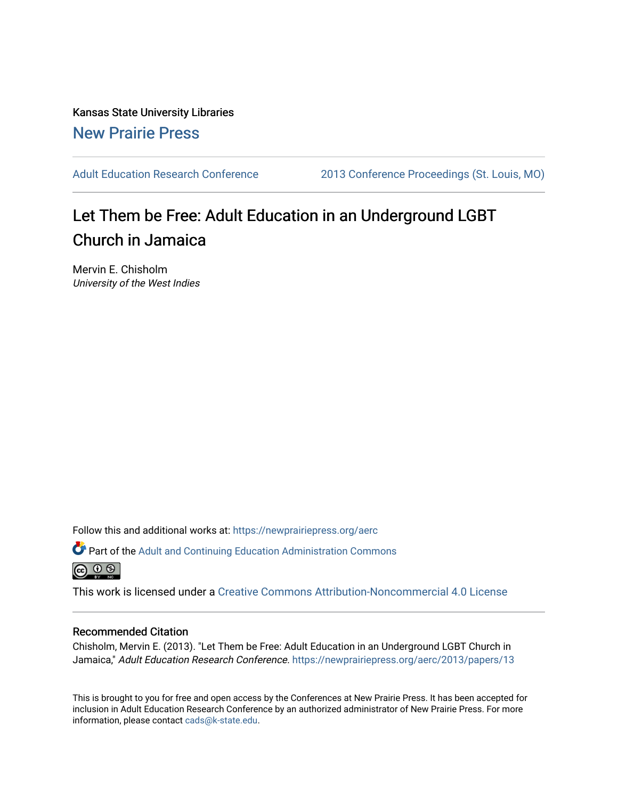Kansas State University Libraries [New Prairie Press](https://newprairiepress.org/) 

[Adult Education Research Conference](https://newprairiepress.org/aerc) [2013 Conference Proceedings \(St. Louis, MO\)](https://newprairiepress.org/aerc/2013) 

# Let Them be Free: Adult Education in an Underground LGBT Church in Jamaica

Mervin E. Chisholm University of the West Indies

Follow this and additional works at: [https://newprairiepress.org/aerc](https://newprairiepress.org/aerc?utm_source=newprairiepress.org%2Faerc%2F2013%2Fpapers%2F13&utm_medium=PDF&utm_campaign=PDFCoverPages)

Part of the [Adult and Continuing Education Administration Commons](http://network.bepress.com/hgg/discipline/789?utm_source=newprairiepress.org%2Faerc%2F2013%2Fpapers%2F13&utm_medium=PDF&utm_campaign=PDFCoverPages) <u>ெ ெ ⊜</u>

This work is licensed under a [Creative Commons Attribution-Noncommercial 4.0 License](https://creativecommons.org/licenses/by-nc/4.0/)

# Recommended Citation

Chisholm, Mervin E. (2013). "Let Them be Free: Adult Education in an Underground LGBT Church in Jamaica," Adult Education Research Conference. https://newprairiepress.org/aerc/2013/papers/13

This is brought to you for free and open access by the Conferences at New Prairie Press. It has been accepted for inclusion in Adult Education Research Conference by an authorized administrator of New Prairie Press. For more information, please contact [cads@k-state.edu](mailto:cads@k-state.edu).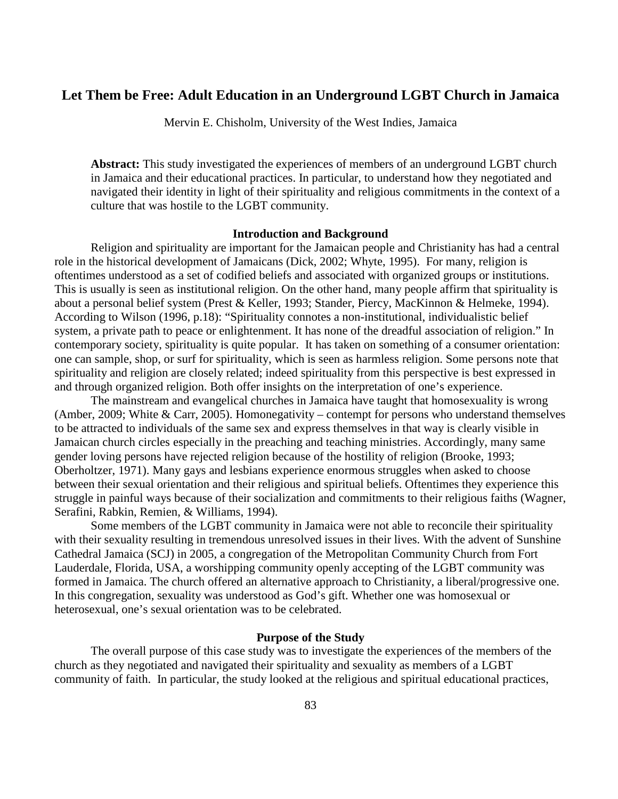# **Let Them be Free: Adult Education in an Underground LGBT Church in Jamaica**

Mervin E. Chisholm, University of the West Indies, Jamaica

**Abstract:** This study investigated the experiences of members of an underground LGBT church in Jamaica and their educational practices. In particular, to understand how they negotiated and navigated their identity in light of their spirituality and religious commitments in the context of a culture that was hostile to the LGBT community.

#### **Introduction and Background**

Religion and spirituality are important for the Jamaican people and Christianity has had a central role in the historical development of Jamaicans (Dick, 2002; Whyte, 1995). For many, religion is oftentimes understood as a set of codified beliefs and associated with organized groups or institutions. This is usually is seen as institutional religion. On the other hand, many people affirm that spirituality is about a personal belief system (Prest & Keller, 1993; Stander, Piercy, MacKinnon & Helmeke, 1994). According to Wilson (1996, p.18): "Spirituality connotes a non-institutional, individualistic belief system, a private path to peace or enlightenment. It has none of the dreadful association of religion." In contemporary society, spirituality is quite popular. It has taken on something of a consumer orientation: one can sample, shop, or surf for spirituality, which is seen as harmless religion. Some persons note that spirituality and religion are closely related; indeed spirituality from this perspective is best expressed in and through organized religion. Both offer insights on the interpretation of one's experience.

The mainstream and evangelical churches in Jamaica have taught that homosexuality is wrong (Amber, 2009; White & Carr, 2005). Homonegativity – contempt for persons who understand themselves to be attracted to individuals of the same sex and express themselves in that way is clearly visible in Jamaican church circles especially in the preaching and teaching ministries. Accordingly, many same gender loving persons have rejected religion because of the hostility of religion (Brooke, 1993; Oberholtzer, 1971). Many gays and lesbians experience enormous struggles when asked to choose between their sexual orientation and their religious and spiritual beliefs. Oftentimes they experience this struggle in painful ways because of their socialization and commitments to their religious faiths (Wagner, Serafini, Rabkin, Remien, & Williams, 1994).

Some members of the LGBT community in Jamaica were not able to reconcile their spirituality with their sexuality resulting in tremendous unresolved issues in their lives. With the advent of Sunshine Cathedral Jamaica (SCJ) in 2005, a congregation of the Metropolitan Community Church from Fort Lauderdale, Florida, USA, a worshipping community openly accepting of the LGBT community was formed in Jamaica. The church offered an alternative approach to Christianity, a liberal/progressive one. In this congregation, sexuality was understood as God's gift. Whether one was homosexual or heterosexual, one's sexual orientation was to be celebrated.

## **Purpose of the Study**

The overall purpose of this case study was to investigate the experiences of the members of the church as they negotiated and navigated their spirituality and sexuality as members of a LGBT community of faith. In particular, the study looked at the religious and spiritual educational practices,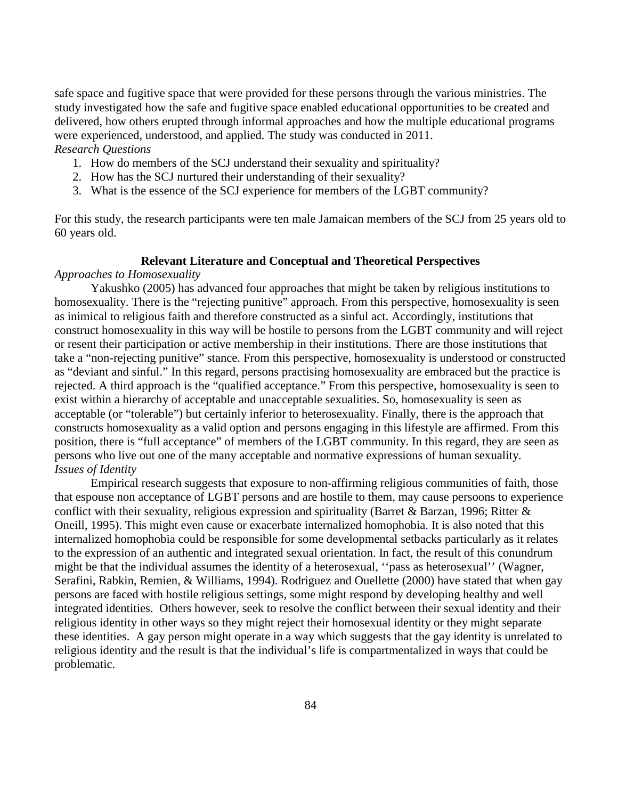safe space and fugitive space that were provided for these persons through the various ministries. The study investigated how the safe and fugitive space enabled educational opportunities to be created and delivered, how others erupted through informal approaches and how the multiple educational programs were experienced, understood, and applied. The study was conducted in 2011. *Research Questions* 

- 1. How do members of the SCJ understand their sexuality and spirituality?
- 2. How has the SCJ nurtured their understanding of their sexuality?
- 3. What is the essence of the SCJ experience for members of the LGBT community?

For this study, the research participants were ten male Jamaican members of the SCJ from 25 years old to 60 years old.

# **Relevant Literature and Conceptual and Theoretical Perspectives**

# *Approaches to Homosexuality*

Yakushko (2005) has advanced four approaches that might be taken by religious institutions to homosexuality. There is the "rejecting punitive" approach. From this perspective, homosexuality is seen as inimical to religious faith and therefore constructed as a sinful act. Accordingly, institutions that construct homosexuality in this way will be hostile to persons from the LGBT community and will reject or resent their participation or active membership in their institutions. There are those institutions that take a "non-rejecting punitive" stance. From this perspective, homosexuality is understood or constructed as "deviant and sinful." In this regard, persons practising homosexuality are embraced but the practice is rejected. A third approach is the "qualified acceptance." From this perspective, homosexuality is seen to exist within a hierarchy of acceptable and unacceptable sexualities. So, homosexuality is seen as acceptable (or "tolerable") but certainly inferior to heterosexuality. Finally, there is the approach that constructs homosexuality as a valid option and persons engaging in this lifestyle are affirmed. From this position, there is "full acceptance" of members of the LGBT community. In this regard, they are seen as persons who live out one of the many acceptable and normative expressions of human sexuality. *Issues of Identity*

Empirical research suggests that exposure to non-affirming religious communities of faith, those that espouse non acceptance of LGBT persons and are hostile to them, may cause persoons to experience conflict with their sexuality, religious expression and spirituality (Barret & Barzan, 1996; Ritter & Oneill, 1995). This might even cause or exacerbate internalized homophobia. It is also noted that this internalized homophobia could be responsible for some developmental setbacks particularly as it relates to the expression of an authentic and integrated sexual orientation. In fact, the result of this conundrum might be that the individual assumes the identity of a heterosexual, ''pass as heterosexual'' (Wagner, Serafini, Rabkin, Remien, & Williams, 1994). Rodriguez and Ouellette (2000) have stated that when gay persons are faced with hostile religious settings, some might respond by developing healthy and well integrated identities. Others however, seek to resolve the conflict between their sexual identity and their religious identity in other ways so they might reject their homosexual identity or they might separate these identities. A gay person might operate in a way which suggests that the gay identity is unrelated to religious identity and the result is that the individual's life is compartmentalized in ways that could be problematic.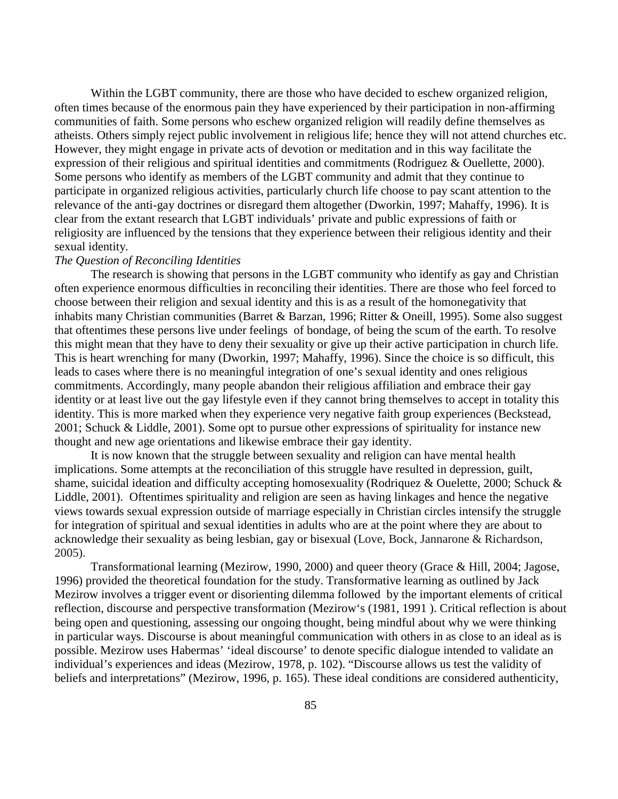Within the LGBT community, there are those who have decided to eschew organized religion, often times because of the enormous pain they have experienced by their participation in non-affirming communities of faith. Some persons who eschew organized religion will readily define themselves as atheists. Others simply reject public involvement in religious life; hence they will not attend churches etc. However, they might engage in private acts of devotion or meditation and in this way facilitate the expression of their religious and spiritual identities and commitments (Rodriguez & Ouellette, 2000). Some persons who identify as members of the LGBT community and admit that they continue to participate in organized religious activities, particularly church life choose to pay scant attention to the relevance of the anti-gay doctrines or disregard them altogether (Dworkin, 1997; Mahaffy, 1996). It is clear from the extant research that LGBT individuals' private and public expressions of faith or religiosity are influenced by the tensions that they experience between their religious identity and their sexual identity.

### *The Question of Reconciling Identities*

The research is showing that persons in the LGBT community who identify as gay and Christian often experience enormous difficulties in reconciling their identities. There are those who feel forced to choose between their religion and sexual identity and this is as a result of the homonegativity that inhabits many Christian communities (Barret & Barzan, 1996; Ritter & Oneill, 1995). Some also suggest that oftentimes these persons live under feelings of bondage, of being the scum of the earth. To resolve this might mean that they have to deny their sexuality or give up their active participation in church life. This is heart wrenching for many (Dworkin, 1997; Mahaffy, 1996). Since the choice is so difficult, this leads to cases where there is no meaningful integration of one's sexual identity and ones religious commitments. Accordingly, many people abandon their religious affiliation and embrace their gay identity or at least live out the gay lifestyle even if they cannot bring themselves to accept in totality this identity. This is more marked when they experience very negative faith group experiences (Beckstead, 2001; Schuck & Liddle, 2001). Some opt to pursue other expressions of spirituality for instance new thought and new age orientations and likewise embrace their gay identity.

It is now known that the struggle between sexuality and religion can have mental health implications. Some attempts at the reconciliation of this struggle have resulted in depression, guilt, shame, suicidal ideation and difficulty accepting homosexuality (Rodriquez & Ouelette, 2000; Schuck & Liddle, 2001). Oftentimes spirituality and religion are seen as having linkages and hence the negative views towards sexual expression outside of marriage especially in Christian circles intensify the struggle for integration of spiritual and sexual identities in adults who are at the point where they are about to acknowledge their sexuality as being lesbian, gay or bisexual (Love, Bock, Jannarone & Richardson, 2005).

Transformational learning (Mezirow, 1990, 2000) and queer theory (Grace & Hill, 2004; Jagose, 1996) provided the theoretical foundation for the study. Transformative learning as outlined by Jack Mezirow involves a trigger event or disorienting dilemma followed by the important elements of critical reflection, discourse and perspective transformation (Mezirow's (1981, 1991 ). Critical reflection is about being open and questioning, assessing our ongoing thought, being mindful about why we were thinking in particular ways. Discourse is about meaningful communication with others in as close to an ideal as is possible. Mezirow uses Habermas' 'ideal discourse' to denote specific dialogue intended to validate an individual's experiences and ideas (Mezirow, 1978, p. 102). "Discourse allows us test the validity of beliefs and interpretations" (Mezirow, 1996, p. 165). These ideal conditions are considered authenticity,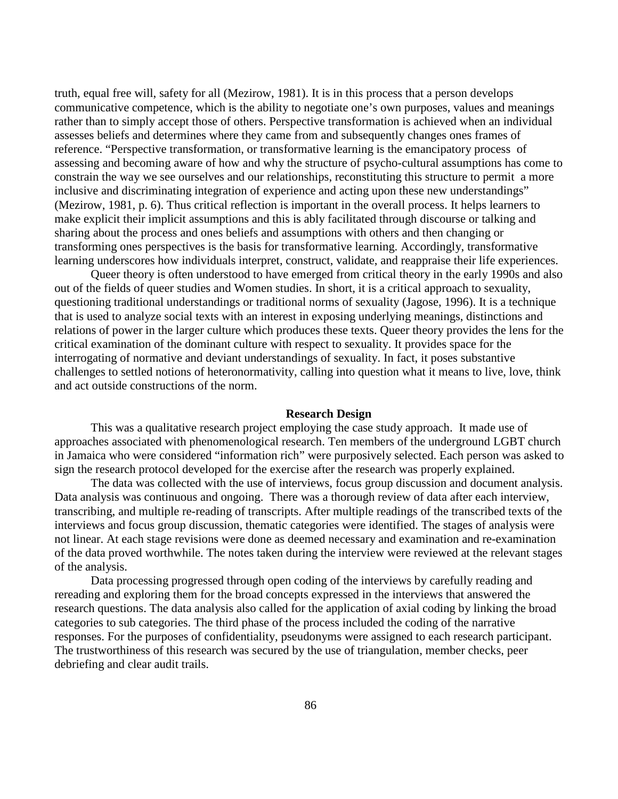truth, equal free will, safety for all (Mezirow, 1981). It is in this process that a person develops communicative competence, which is the ability to negotiate one's own purposes, values and meanings rather than to simply accept those of others. Perspective transformation is achieved when an individual assesses beliefs and determines where they came from and subsequently changes ones frames of reference. "Perspective transformation, or transformative learning is the emancipatory process of assessing and becoming aware of how and why the structure of psycho-cultural assumptions has come to constrain the way we see ourselves and our relationships, reconstituting this structure to permit a more inclusive and discriminating integration of experience and acting upon these new understandings" (Mezirow, 1981, p. 6). Thus critical reflection is important in the overall process. It helps learners to make explicit their implicit assumptions and this is ably facilitated through discourse or talking and sharing about the process and ones beliefs and assumptions with others and then changing or transforming ones perspectives is the basis for transformative learning. Accordingly, transformative learning underscores how individuals interpret, construct, validate, and reappraise their life experiences.

Queer theory is often understood to have emerged from critical theory in the early 1990s and also out of the fields of queer studies and Women studies. In short, it is a critical approach to sexuality, questioning traditional understandings or traditional norms of sexuality (Jagose, 1996). It is a technique that is used to analyze social texts with an interest in exposing underlying meanings, distinctions and relations of power in the larger culture which produces these texts. Queer theory provides the lens for the critical examination of the dominant culture with respect to sexuality. It provides space for the interrogating of normative and deviant understandings of sexuality. In fact, it poses substantive challenges to settled notions of heteronormativity, calling into question what it means to live, love, think and act outside constructions of the norm.

#### **Research Design**

This was a qualitative research project employing the case study approach. It made use of approaches associated with phenomenological research. Ten members of the underground LGBT church in Jamaica who were considered "information rich" were purposively selected. Each person was asked to sign the research protocol developed for the exercise after the research was properly explained.

The data was collected with the use of interviews, focus group discussion and document analysis. Data analysis was continuous and ongoing. There was a thorough review of data after each interview, transcribing, and multiple re-reading of transcripts. After multiple readings of the transcribed texts of the interviews and focus group discussion, thematic categories were identified. The stages of analysis were not linear. At each stage revisions were done as deemed necessary and examination and re-examination of the data proved worthwhile. The notes taken during the interview were reviewed at the relevant stages of the analysis.

Data processing progressed through open coding of the interviews by carefully reading and rereading and exploring them for the broad concepts expressed in the interviews that answered the research questions. The data analysis also called for the application of axial coding by linking the broad categories to sub categories. The third phase of the process included the coding of the narrative responses. For the purposes of confidentiality, pseudonyms were assigned to each research participant. The trustworthiness of this research was secured by the use of triangulation, member checks, peer debriefing and clear audit trails.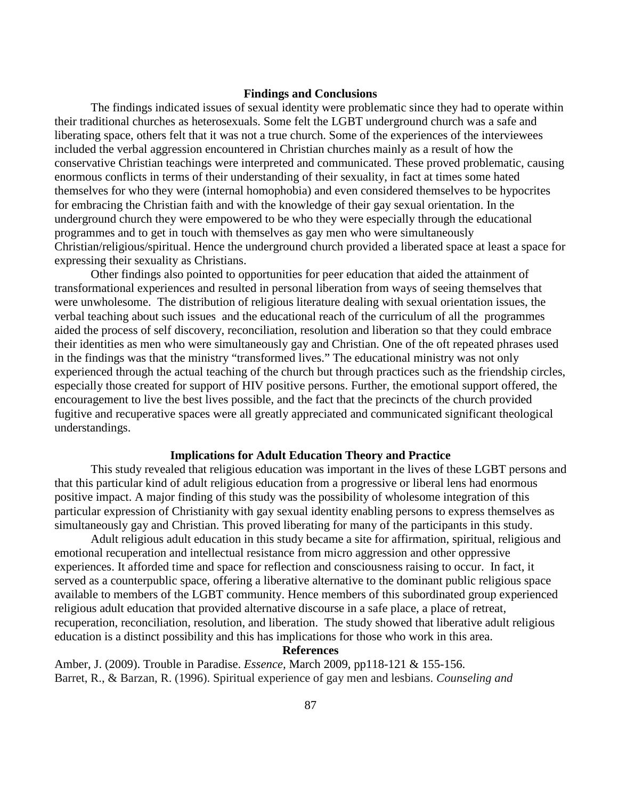#### **Findings and Conclusions**

The findings indicated issues of sexual identity were problematic since they had to operate within their traditional churches as heterosexuals. Some felt the LGBT underground church was a safe and liberating space, others felt that it was not a true church. Some of the experiences of the interviewees included the verbal aggression encountered in Christian churches mainly as a result of how the conservative Christian teachings were interpreted and communicated. These proved problematic, causing enormous conflicts in terms of their understanding of their sexuality, in fact at times some hated themselves for who they were (internal homophobia) and even considered themselves to be hypocrites for embracing the Christian faith and with the knowledge of their gay sexual orientation. In the underground church they were empowered to be who they were especially through the educational programmes and to get in touch with themselves as gay men who were simultaneously Christian/religious/spiritual. Hence the underground church provided a liberated space at least a space for expressing their sexuality as Christians.

Other findings also pointed to opportunities for peer education that aided the attainment of transformational experiences and resulted in personal liberation from ways of seeing themselves that were unwholesome. The distribution of religious literature dealing with sexual orientation issues, the verbal teaching about such issues and the educational reach of the curriculum of all the programmes aided the process of self discovery, reconciliation, resolution and liberation so that they could embrace their identities as men who were simultaneously gay and Christian. One of the oft repeated phrases used in the findings was that the ministry "transformed lives." The educational ministry was not only experienced through the actual teaching of the church but through practices such as the friendship circles, especially those created for support of HIV positive persons. Further, the emotional support offered, the encouragement to live the best lives possible, and the fact that the precincts of the church provided fugitive and recuperative spaces were all greatly appreciated and communicated significant theological understandings.

#### **Implications for Adult Education Theory and Practice**

This study revealed that religious education was important in the lives of these LGBT persons and that this particular kind of adult religious education from a progressive or liberal lens had enormous positive impact. A major finding of this study was the possibility of wholesome integration of this particular expression of Christianity with gay sexual identity enabling persons to express themselves as simultaneously gay and Christian. This proved liberating for many of the participants in this study.

Adult religious adult education in this study became a site for affirmation, spiritual, religious and emotional recuperation and intellectual resistance from micro aggression and other oppressive experiences. It afforded time and space for reflection and consciousness raising to occur. In fact, it served as a counterpublic space, offering a liberative alternative to the dominant public religious space available to members of the LGBT community. Hence members of this subordinated group experienced religious adult education that provided alternative discourse in a safe place, a place of retreat, recuperation, reconciliation, resolution, and liberation. The study showed that liberative adult religious education is a distinct possibility and this has implications for those who work in this area.

## **References**

Amber, J. (2009). Trouble in Paradise. *Essence,* March 2009, pp118-121 & 155-156. Barret, R., & Barzan, R. (1996). Spiritual experience of gay men and lesbians. *Counseling and*